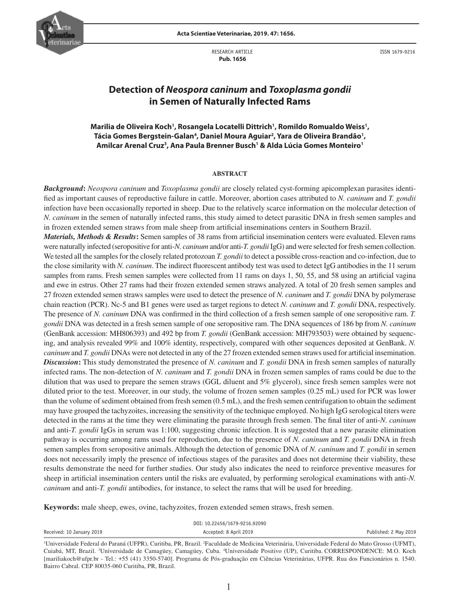

RESEARCH ARTICLE  **Pub. 1656**



ISSN 1679-9216

# **Detection of** *Neospora caninum* **and** *Toxoplasma gondii* **in Semen of Naturally Infected Rams**

### Marilia de Oliveira Koch<sup>1</sup>, Rosangela Locatelli Dittrich<sup>1</sup>, Romildo Romualdo Weiss<sup>1</sup>, Tácia Gomes Bergstein-Galan<sup>4</sup>, Daniel Moura Aguiar<sup>2</sup>, Yara de Oliveira Brandão<sup>1</sup>, **Amilcar Arenal Cruz3 , Ana Paula Brenner Busch1 & Alda Lúcia Gomes Monteiro1**

#### **ABSTRACT**

*Background***:** *Neospora caninum* and *Toxoplasma gondii* are closely related cyst-forming apicomplexan parasites identified as important causes of reproductive failure in cattle. Moreover, abortion cases attributed to *N. caninum* and *T. gondii*  infection have been occasionally reported in sheep. Due to the relatively scarce information on the molecular detection of *N. caninum* in the semen of naturally infected rams, this study aimed to detect parasitic DNA in fresh semen samples and in frozen extended semen straws from male sheep from artificial inseminations centers in Southern Brazil.

*Materials, Methods & Results***:** Semen samples of 38 rams from artificial insemination centers were evaluated. Eleven rams were naturally infected (seropositive for anti-*N. caninum* and/or anti-*T. gondii* IgG) and were selected for fresh semen collection. We tested all the samples for the closely related protozoan *T. gondii* to detect a possible cross-reaction and co-infection, due to the close similarity with *N. caninum*. The indirect fluorescent antibody test was used to detect IgG antibodies in the 11 serum samples from rams. Fresh semen samples were collected from 11 rams on days 1, 50, 55, and 58 using an artificial vagina and ewe in estrus. Other 27 rams had their frozen extended semen straws analyzed. A total of 20 fresh semen samples and 27 frozen extended semen straws samples were used to detect the presence of *N. caninum* and *T. gondii* DNA by polymerase chain reaction (PCR). Nc-5 and B1 genes were used as target regions to detect *N. caninum* and *T. gondii* DNA, respectively. The presence of *N. caninum* DNA was confirmed in the third collection of a fresh semen sample of one seropositive ram. *T. gondii* DNA was detected in a fresh semen sample of one seropositive ram. The DNA sequences of 186 bp from *N. caninum* (GenBank accession: MH806393) and 492 bp from *T. gondii* (GenBank accession: MH793503) were obtained by sequencing, and analysis revealed 99% and 100% identity, respectively, compared with other sequences deposited at GenBank. *N. caninum* and *T. gondii* DNAs were not detected in any of the 27 frozen extended semen straws used for artificial insemination. *Discussion***:** This study demonstrated the presence of *N. caninum* and *T. gondii* DNA in fresh semen samples of naturally infected rams. The non-detection of *N. caninum* and *T. gondii* DNA in frozen semen samples of rams could be due to the dilution that was used to prepare the semen straws (GGL diluent and 5% glycerol), since fresh semen samples were not diluted prior to the test. Moreover, in our study, the volume of frozen semen samples (0.25 mL) used for PCR was lower than the volume of sediment obtained from fresh semen (0.5 mL), and the fresh semen centrifugation to obtain the sediment may have grouped the tachyzoites, increasing the sensitivity of the technique employed. No high IgG serological titers were detected in the rams at the time they were eliminating the parasite through fresh semen. The final titer of anti-*N. caninum*  and anti-*T. gondii* IgGs in serum was 1:100, suggesting chronic infection. It is suggested that a new parasite elimination pathway is occurring among rams used for reproduction, due to the presence of *N. caninum* and *T. gondii* DNA in fresh semen samples from seropositive animals. Although the detection of genomic DNA of *N. caninum* and *T. gondii* in semen does not necessarily imply the presence of infectious stages of the parasites and does not determine their viability, these results demonstrate the need for further studies. Our study also indicates the need to reinforce preventive measures for sheep in artificial insemination centers until the risks are evaluated, by performing serological examinations with anti-*N. caninum* and anti-*T. gondii* antibodies, for instance, to select the rams that will be used for breeding.

Keywords: male sheep, ewes, ovine, tachyzoites, frozen extended semen straws, fresh semen.

| DOI: 10.22456/1679-9216.92090 |                                                                                                                                                                     |                       |  |  |  |
|-------------------------------|---------------------------------------------------------------------------------------------------------------------------------------------------------------------|-----------------------|--|--|--|
| Received: 10 January 2019     | Accepted: 8 April 2019                                                                                                                                              | Published: 2 May 2019 |  |  |  |
|                               | <sup>1</sup> Universidade Federal do Paraná (UEPR) Curitiba, PR, Brazil, <sup>2</sup> Eaculdade de Medicina Veterinária, Universidade Federal do Mato Grosso (UEMT) |                       |  |  |  |

e Federal do Paraná (UFPR), Curitiba, PR, Brazil. 4Facul le de Medicina Veterinária, Universidade Federal do Mato Grosso (UFMT), Cuiabá, MT, Brazil. 3 Universidade de Camagüey, Camagüey, Cuba. 4 Universidade Positivo (UP), Curitiba. CORRESPONDENCE: M.O. Koch [mariliakoch@ufpr.br - Tel.: +55 (41) 3350-5740]. Programa de Pós-graduação em Ciências Veterinárias, UFPR. Rua dos Funcionários n. 1540. Bairro Cabral. CEP 80035-060 Curitiba, PR, Brazil.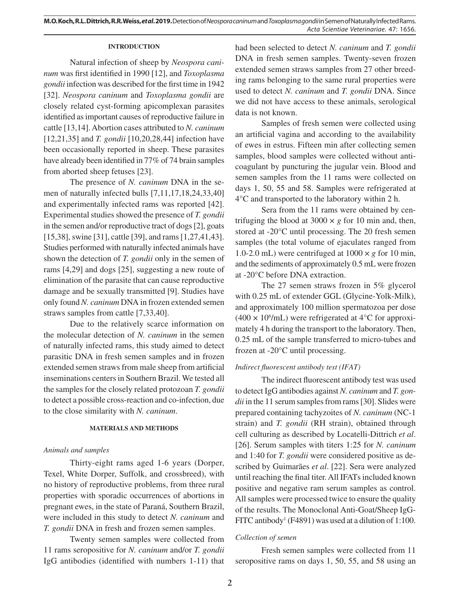**M.O. Koch, R.L. Dittrich, R.R. Weiss,** *et al***. 2019.** Detection of *Neospora caninum* and *Toxoplasma gondii* in Semen of Naturally Infected Rams. *Acta Scientiae Veterinariae*. 47: 1656.

### **INTRODUCTION**

Natural infection of sheep by *Neospora caninum* was first identified in 1990 [12], and *Toxoplasma gondii* infection was described for the first time in 1942 [32]. *Neospora caninum* and *Toxoplasma gondii* are closely related cyst-forming apicomplexan parasites identified as important causes of reproductive failure in cattle [13,14]. Abortion cases attributed to *N. caninum*  [12,21,35] and *T. gondii* [10,20,28,44] infection have been occasionally reported in sheep. These parasites have already been identified in 77% of 74 brain samples from aborted sheep fetuses [23].

The presence of *N. caninum* DNA in the semen of naturally infected bulls [7,11,17,18,24,33,40] and experimentally infected rams was reported [42]. Experimental studies showed the presence of *T. gondii*  in the semen and/or reproductive tract of dogs [2], goats [15,38], swine [31], cattle [39], and rams [1,27,41,43]. Studies performed with naturally infected animals have shown the detection of *T. gondii* only in the semen of rams [4,29] and dogs [25], suggesting a new route of elimination of the parasite that can cause reproductive damage and be sexually transmitted [9]. Studies have only found *N. caninum* DNA in frozen extended semen straws samples from cattle [7,33,40].

Due to the relatively scarce information on the molecular detection of *N. caninum* in the semen of naturally infected rams, this study aimed to detect parasitic DNA in fresh semen samples and in frozen extended semen straws from male sheep from artificial inseminations centers in Southern Brazil. We tested all the samples for the closely related protozoan *T. gondii*  to detect a possible cross-reaction and co-infection, due to the close similarity with *N. caninum*.

#### **MATERIALS AND METHODS**

#### *Animals and samples*

Thirty-eight rams aged 1-6 years (Dorper, Texel, White Dorper, Suffolk, and crossbreed), with no history of reproductive problems, from three rural properties with sporadic occurrences of abortions in pregnant ewes, in the state of Paraná, Southern Brazil, were included in this study to detect *N. caninum* and *T. gondii* DNA in fresh and frozen semen samples.

Twenty semen samples were collected from 11 rams seropositive for *N. caninum* and/or *T. gondii*  IgG antibodies (identified with numbers 1-11) that had been selected to detect *N. caninum* and *T. gondii*  DNA in fresh semen samples. Twenty-seven frozen extended semen straws samples from 27 other breeding rams belonging to the same rural properties were used to detect *N. caninum* and *T. gondii* DNA. Since we did not have access to these animals, serological data is not known.

Samples of fresh semen were collected using an artificial vagina and according to the availability of ewes in estrus. Fifteen min after collecting semen samples, blood samples were collected without anticoagulant by puncturing the jugular vein. Blood and semen samples from the 11 rams were collected on days 1, 50, 55 and 58. Samples were refrigerated at 4°C and transported to the laboratory within 2 h.

Sera from the 11 rams were obtained by centrifuging the blood at  $3000 \times g$  for 10 min and, then, stored at -20°C until processing. The 20 fresh semen samples (the total volume of ejaculates ranged from 1.0-2.0 mL) were centrifuged at  $1000 \times g$  for 10 min, and the sediments of approximately 0.5 mL were frozen at -20°C before DNA extraction.

The 27 semen straws frozen in 5% glycerol with 0.25 mL of extender GGL (Glycine-Yolk-Milk), and approximately 100 million spermatozoa per dose  $(400 \times 10^6$ /mL) were refrigerated at 4°C for approximately 4 h during the transport to the laboratory. Then, 0.25 mL of the sample transferred to micro-tubes and frozen at -20°C until processing.

#### *Indirect fluorescent antibody test (IFAT)*

The indirect fluorescent antibody test was used to detect IgG antibodies against *N. caninum* and *T. gondii* in the 11 serum samples from rams [30]. Slides were prepared containing tachyzoites of *N. caninum* (NC-1 strain) and *T. gondii* (RH strain), obtained through cell culturing as described by Locatelli-Dittrich *et al*. [26]. Serum samples with titers 1:25 for *N. caninum*  and 1:40 for *T. gondii* were considered positive as described by Guimarães *et al*. [22]. Sera were analyzed until reaching the final titer. All IFATs included known positive and negative ram serum samples as control. All samples were processed twice to ensure the quality of the results. The Monoclonal Anti-Goat/Sheep IgG-FITC antibody<sup>1</sup> (F4891) was used at a dilution of 1:100.

### *Collection of semen*

Fresh semen samples were collected from 11 seropositive rams on days 1, 50, 55, and 58 using an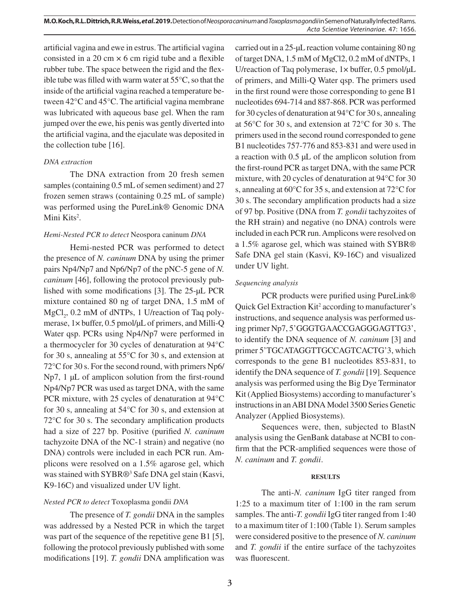artificial vagina and ewe in estrus. The artificial vagina consisted in a 20 cm  $\times$  6 cm rigid tube and a flexible rubber tube. The space between the rigid and the flexible tube was filled with warm water at 55°C, so that the inside of the artificial vagina reached a temperature between 42°C and 45°C. The artificial vagina membrane was lubricated with aqueous base gel. When the ram jumped over the ewe, his penis was gently diverted into the artificial vagina, and the ejaculate was deposited in the collection tube [16].

### *DNA extraction*

The DNA extraction from 20 fresh semen samples (containing 0.5 mL of semen sediment) and 27 frozen semen straws (containing 0.25 mL of sample) was performed using the PureLink® Genomic DNA Mini Kits<sup>2</sup>.

### *Hemi-Nested PCR to detect* Neospora caninum *DNA*

Hemi-nested PCR was performed to detect the presence of *N. caninum* DNA by using the primer pairs Np4/Np7 and Np6/Np7 of the pNC-5 gene of *N. caninum* [46], following the protocol previously published with some modifications [3]. The 25-µL PCR mixture contained 80 ng of target DNA, 1.5 mM of MgCl<sub>2</sub>, 0.2 mM of dNTPs, 1 U/reaction of Taq polymerase, 1× buffer, 0.5 pmol/ $\mu$ L of primers, and Milli-Q Water qsp. PCRs using Np4/Np7 were performed in a thermocycler for 30 cycles of denaturation at 94°C for 30 s, annealing at 55°C for 30 s, and extension at 72°C for 30 s. For the second round, with primers Np6/ Np7, 1 µL of amplicon solution from the first-round Np4/Np7 PCR was used as target DNA, with the same PCR mixture, with 25 cycles of denaturation at 94°C for 30 s, annealing at 54°C for 30 s, and extension at 72°C for 30 s. The secondary amplification products had a size of 227 bp. Positive (purified *N. caninum*  tachyzoite DNA of the NC-1 strain) and negative (no DNA) controls were included in each PCR run. Amplicons were resolved on a 1.5% agarose gel, which was stained with SYBR®<sup>3</sup> Safe DNA gel stain (Kasvi, K9-16C) and visualized under UV light.

# *Nested PCR to detect* Toxoplasma gondii *DNA*

The presence of *T. gondii* DNA in the samples was addressed by a Nested PCR in which the target was part of the sequence of the repetitive gene B1 [5], following the protocol previously published with some modifications [19]. *T. gondii* DNA amplification was carried out in a 25-µL reaction volume containing 80 ng of target DNA, 1.5 mM of MgCl2, 0.2 mM of dNTPs, 1 U/reaction of Taq polymerase,  $1 \times$  buffer, 0.5 pmol/ $\mu$ L of primers, and Milli-Q Water qsp. The primers used in the first round were those corresponding to gene B1 nucleotides 694-714 and 887-868. PCR was performed for 30 cycles of denaturation at 94°C for 30 s, annealing at 56°C for 30 s, and extension at 72°C for 30 s. The primers used in the second round corresponded to gene B1 nucleotides 757-776 and 853-831 and were used in a reaction with 0.5 µL of the amplicon solution from the first-round PCR as target DNA, with the same PCR mixture, with 20 cycles of denaturation at 94°C for 30 s, annealing at 60°C for 35 s, and extension at 72°C for 30 s. The secondary amplification products had a size of 97 bp. Positive (DNA from *T. gondii* tachyzoites of the RH strain) and negative (no DNA) controls were included in each PCR run. Amplicons were resolved on a 1.5% agarose gel, which was stained with SYBR® Safe DNA gel stain (Kasvi, K9-16C) and visualized under UV light.

# *Sequencing analysis*

PCR products were purified using PureLink® Quick Gel Extraction Kit<sup>2</sup> according to manufacturer's instructions, and sequence analysis was performed using primer Np7, 5'GGGTGAACCGAGGGAGTTG3', to identify the DNA sequence of *N. caninum* [3] and primer 5'TGCATAGGTTGCCAGTCACTG'3, which corresponds to the gene B1 nucleotides 853-831, to identify the DNA sequence of *T. gondii* [19]. Sequence analysis was performed using the Big Dye Terminator Kit (Applied Biosystems) according to manufacturer's instructions in an ABI DNA Model 3500 Series Genetic Analyzer (Applied Biosystems).

Sequences were, then, subjected to BlastN analysis using the GenBank database at NCBI to confirm that the PCR-amplified sequences were those of *N. caninum* and *T. gondii*.

### **RESULTS**

The anti-*N. caninum* IgG titer ranged from 1:25 to a maximum titer of 1:100 in the ram serum samples. The anti-*T. gondii* IgG titer ranged from 1:40 to a maximum titer of 1:100 (Table 1). Serum samples were considered positive to the presence of *N. caninum*  and *T. gondii* if the entire surface of the tachyzoites was fluorescent.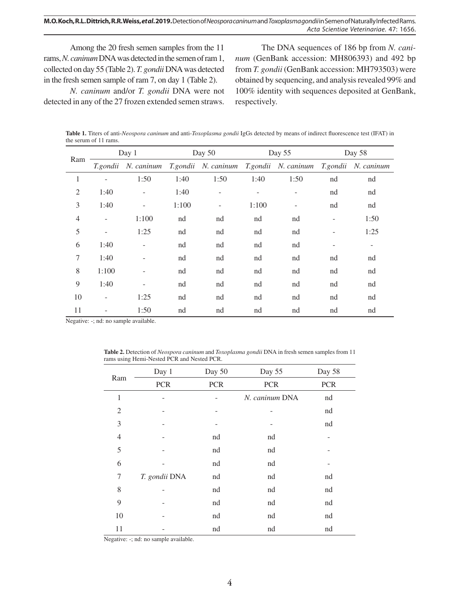Among the 20 fresh semen samples from the 11 rams, *N. caninum* DNA was detected in the semen of ram 1, collected on day 55 (Table 2). *T. gondii* DNA was detected in the fresh semen sample of ram 7, on day 1 (Table 2).

*N. caninum* and/or *T. gondii* DNA were not detected in any of the 27 frozen extended semen straws.

The DNA sequences of 186 bp from *N. caninum* (GenBank accession: MH806393) and 492 bp from *T. gondii* (GenBank accession: MH793503) were obtained by sequencing, and analysis revealed 99% and 100% identity with sequences deposited at GenBank, respectively.

**Table 1.** Titers of anti-*Neospora caninum* and anti-*Toxoplasma gondii* IgGs detected by means of indirect fluorescence test (IFAT) in the serum of 11 rams.

| Ram            | Day 1                    |                          | Day 50 |                     | Day 55   |            | Day 58                   |            |
|----------------|--------------------------|--------------------------|--------|---------------------|----------|------------|--------------------------|------------|
|                | T.gondii                 | N. caninum               |        | T.gondii N. caninum | T.gondii | N. caninum | T.gondii                 | N. caninum |
| 1              |                          | 1:50                     | 1:40   | 1:50                | 1:40     | 1:50       | nd                       | nd         |
| $\mathfrak{2}$ | 1:40                     | $\overline{\phantom{0}}$ | 1:40   |                     |          |            | nd                       | nd         |
| 3              | 1:40                     | $\overline{a}$           | 1:100  |                     | 1:100    |            | nd                       | nd         |
| $\overline{4}$ | $\overline{\phantom{a}}$ | 1:100                    | nd     | nd                  | nd       | nd         | $\overline{\phantom{a}}$ | 1:50       |
| 5              | $\overline{\phantom{a}}$ | 1:25                     | nd     | nd                  | nd       | nd         |                          | 1:25       |
| 6              | 1:40                     | ÷,                       | nd     | nd                  | nd       | nd         |                          |            |
| 7              | 1:40                     |                          | nd     | nd                  | nd       | nd         | nd                       | nd         |
| 8              | 1:100                    |                          | nd     | nd                  | nd       | nd         | nd                       | nd         |
| 9              | 1:40                     |                          | nd     | nd                  | nd       | nd         | nd                       | nd         |
| 10             |                          | 1:25                     | nd     | nd                  | nd       | nd         | nd                       | nd         |
| 11             |                          | 1:50                     | nd     | nd                  | nd       | nd         | nd                       | nd         |

Negative: -; nd: no sample available.

| <b>Table 2.</b> Detection of <i>Neospora caninum</i> and <i>Toxoplasma gondii</i> DNA in fresh semen samples from 11 |  |
|----------------------------------------------------------------------------------------------------------------------|--|
| rams using Hemi-Nested PCR and Nested PCR.                                                                           |  |

| Ram            | Day 1         | Day 50     | Day 55         | Day 58     |
|----------------|---------------|------------|----------------|------------|
|                | PCR           | <b>PCR</b> | <b>PCR</b>     | <b>PCR</b> |
| $\mathbf{1}$   |               |            | N. caninum DNA | nd         |
| $\overline{2}$ |               |            |                | nd         |
| 3              |               |            |                | nd         |
| $\overline{4}$ |               | nd         | nd             |            |
| 5              |               | nd         | nd             |            |
| 6              |               | nd         | nd             |            |
| 7              | T. gondii DNA | nd         | nd             | nd         |
| 8              |               | nd         | nd             | nd         |
| 9              |               | nd         | nd             | nd         |
| 10             |               | nd         | nd             | nd         |
| 11             |               | nd         | nd             | nd         |

Negative: -; nd: no sample available.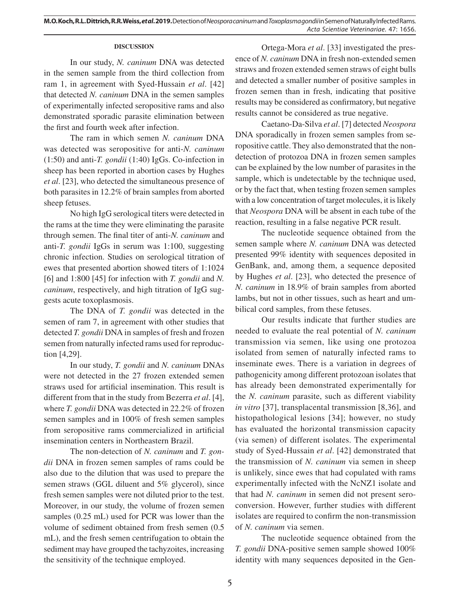### **DISCUSSION**

In our study, *N. caninum* DNA was detected in the semen sample from the third collection from ram 1, in agreement with Syed-Hussain *et al*. [42] that detected *N. caninum* DNA in the semen samples of experimentally infected seropositive rams and also demonstrated sporadic parasite elimination between the first and fourth week after infection.

The ram in which semen *N. caninum* DNA was detected was seropositive for anti-*N. caninum* (1:50) and anti-*T. gondii* (1:40) IgGs. Co-infection in sheep has been reported in abortion cases by Hughes *et al*. [23], who detected the simultaneous presence of both parasites in 12.2% of brain samples from aborted sheep fetuses.

No high IgG serological titers were detected in the rams at the time they were eliminating the parasite through semen. The final titer of anti-*N. caninum* and anti-*T. gondii* IgGs in serum was 1:100, suggesting chronic infection. Studies on serological titration of ewes that presented abortion showed titers of 1:1024 [6] and 1:800 [45] for infection with *T. gondii* and *N. caninum*, respectively, and high titration of IgG suggests acute toxoplasmosis.

The DNA of *T. gondii* was detected in the semen of ram 7, in agreement with other studies that detected *T. gondii* DNA in samples of fresh and frozen semen from naturally infected rams used for reproduction [4,29].

In our study, *T. gondii* and *N. caninum* DNAs were not detected in the 27 frozen extended semen straws used for artificial insemination. This result is different from that in the study from Bezerra *et al*. [4], where *T. gondii* DNA was detected in 22.2% of frozen semen samples and in 100% of fresh semen samples from seropositive rams commercialized in artificial insemination centers in Northeastern Brazil.

The non-detection of *N. caninum* and *T. gondii* DNA in frozen semen samples of rams could be also due to the dilution that was used to prepare the semen straws (GGL diluent and 5% glycerol), since fresh semen samples were not diluted prior to the test. Moreover, in our study, the volume of frozen semen samples (0.25 mL) used for PCR was lower than the volume of sediment obtained from fresh semen (0.5 mL), and the fresh semen centrifugation to obtain the sediment may have grouped the tachyzoites, increasing the sensitivity of the technique employed.

Ortega-Mora *et al*. [33] investigated the presence of *N. caninum* DNA in fresh non-extended semen straws and frozen extended semen straws of eight bulls and detected a smaller number of positive samples in frozen semen than in fresh, indicating that positive results may be considered as confirmatory, but negative results cannot be considered as true negative.

Caetano-Da-Silva *et al*. [7] detected *Neospora* DNA sporadically in frozen semen samples from seropositive cattle. They also demonstrated that the nondetection of protozoa DNA in frozen semen samples can be explained by the low number of parasites in the sample, which is undetectable by the technique used, or by the fact that, when testing frozen semen samples with a low concentration of target molecules, it is likely that *Neospora* DNA will be absent in each tube of the reaction, resulting in a false negative PCR result.

The nucleotide sequence obtained from the semen sample where *N. caninum* DNA was detected presented 99% identity with sequences deposited in GenBank, and, among them, a sequence deposited by Hughes *et al*. [23], who detected the presence of *N. caninum* in 18.9% of brain samples from aborted lambs, but not in other tissues, such as heart and umbilical cord samples, from these fetuses.

Our results indicate that further studies are needed to evaluate the real potential of *N. caninum*  transmission via semen, like using one protozoa isolated from semen of naturally infected rams to inseminate ewes. There is a variation in degrees of pathogenicity among different protozoan isolates that has already been demonstrated experimentally for the *N. caninum* parasite, such as different viability *in vitro* [37], transplacental transmission [8,36], and histopathological lesions [34]; however, no study has evaluated the horizontal transmission capacity (via semen) of different isolates. The experimental study of Syed-Hussain *et al*. [42] demonstrated that the transmission of *N. caninum* via semen in sheep is unlikely, since ewes that had copulated with rams experimentally infected with the NcNZ1 isolate and that had *N. caninum* in semen did not present seroconversion. However, further studies with different isolates are required to confirm the non-transmission of *N. caninum* via semen.

The nucleotide sequence obtained from the *T. gondii* DNA-positive semen sample showed 100% identity with many sequences deposited in the Gen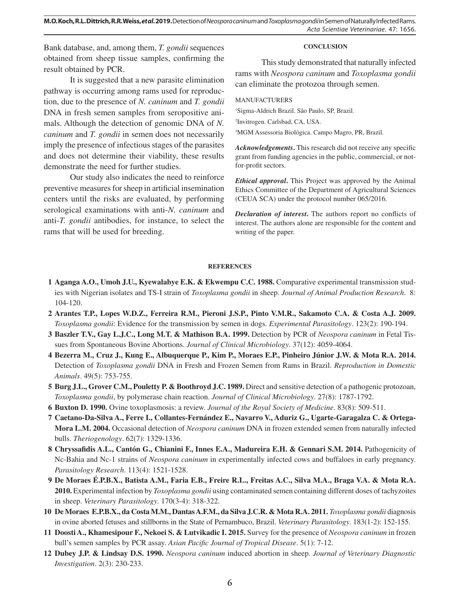**M.O. Koch, R.L. Dittrich, R.R. Weiss,** *et al***. 2019.** Detection of *Neospora caninum* and *Toxoplasma gondii* in Semen of Naturally Infected Rams. *Acta Scientiae Veterinariae*. 47: 1656.

Bank database, and, among them, *T. gondii* sequences obtained from sheep tissue samples, confirming the result obtained by PCR.

It is suggested that a new parasite elimination pathway is occurring among rams used for reproduction, due to the presence of *N. caninum* and *T. gondii*  DNA in fresh semen samples from seropositive animals. Although the detection of genomic DNA of *N. caninum* and *T. gondii* in semen does not necessarily imply the presence of infectious stages of the parasites and does not determine their viability, these results demonstrate the need for further studies.

Our study also indicates the need to reinforce preventive measures for sheep in artificial insemination centers until the risks are evaluated, by performing serological examinations with anti-*N. caninum* and anti-*T. gondii* antibodies, for instance, to select the rams that will be used for breeding.

#### **CONCLUSION**

This study demonstrated that naturally infected rams with *Neospora caninum* and *Toxoplasma gondii* can eliminate the protozoa through semen.

#### MANUFACTURERS

1 Sigma-Aldrich Brazil. São Paulo, SP, Brazil.

2 Invitrogen. Carlsbad, CA, USA.

3 MGM Assessoria Biológica. Campo Magro, PR, Brazil.

*Acknowledgements***.** This research did not receive any specific grant from funding agencies in the public, commercial, or notfor-profit sectors.

*Ethical approval***.** This Project was approved by the Animal Ethics Committee of the Department of Agricultural Sciences (CEUA SCA) under the protocol number 065/2016.

*Declaration of interest***.** The authors report no conflicts of interest. The authors alone are responsible for the content and writing of the paper.

#### **REFERENCES**

- **1 Aganga A.O., Umoh J.U., Kyewalabye E.K. & Ekwempu C.C. 1988.** Comparative experimental transmission studies with Nigerian isolates and TS-I strain of *Toxoplasma gondii* in sheep. *Journal of Animal Production Research*. 8: 104-120.
- **2 Arantes T.P., Lopes W.D.Z., Ferreira R.M., Pieroni J.S.P., Pinto V.M.R., Sakamoto C.A. & Costa A.J. 2009.**  *Toxoplasma gondii*: Evidence for the transmission by semen in dogs. *Experimental Parasitology*. 123(2): 190-194.
- **3 Baszler T.V., Gay L.J.C., Long M.T. & Mathison B.A. 1999.** Detection by PCR of *Neospora caninum* in Fetal Tissues from Spontaneous Bovine Abortions. *Journal of Clinical Microbiology*. 37(12): 4059-4064.
- **4 Bezerra M., Cruz J., Kung E., Albuquerque P., Kim P., Moraes E.P., Pinheiro Júnior J.W. & Mota R.A. 2014.**  Detection of *Toxoplasma gondii* DNA in Fresh and Frozen Semen from Rams in Brazil. *Reproduction in Domestic Animals*. 49(5): 753-755.
- **5 Burg J.L., Grover C.M., Pouletty P. & Boothroyd J.C. 1989.** Direct and sensitive detection of a pathogenic protozoan, *Toxoplasma gondii*, by polymerase chain reaction. *Journal of Clinical Microbiology*. 27(8): 1787-1792.
- **6 Buxton D. 1990.** Ovine toxoplasmosis: a review. *Journal of the Royal Society of Medicine*. 83(8): 509-511.
- **7 Caetano-Da-Silva A., Ferre I., Collantes-Fernández E., Navarro V., Aduriz G., Ugarte-Garagalza C. & Ortega-Mora L.M. 2004.** Occasional detection of *Neospora caninum* DNA in frozen extended semen from naturally infected bulls. *Theriogenology*. 62(7): 1329-1336.
- **8 Chryssafidis A.L., Cantón G., Chianini F., Innes E.A., Madureira E.H. & Gennari S.M. 2014.** Pathogenicity of Nc-Bahia and Nc-1 strains of *Neospora caninum* in experimentally infected cows and buffaloes in early pregnancy. *Parasitology Research*. 113(4): 1521-1528.
- **9 De Moraes É.P.B.X., Batista A.M., Faria E.B., Freire R.L., Freitas A.C., Silva M.A., Braga V.A. & Mota R.A. 2010.** Experimental infection by *Toxoplasma gondii* using contaminated semen containing different doses of tachyzoites in sheep. *Veterinary Parasitology*. 170(3-4): 318-322.
- **10 De Moraes E.P.B.X., da Costa M.M., Dantas A.F.M., da Silva J.C.R. & Mota R.A. 2011.** *Toxoplasma gondii* diagnosis in ovine aborted fetuses and stillborns in the State of Pernambuco, Brazil. *Veterinary Parasitology*. 183(1-2): 152-155.
- **11 Doosti A., Khamesipour F., Nekoei S. & Lutvikadic I. 2015.** Survey for the presence of *Neospora caninum* in frozen bull's semen samples by PCR assay. *Asian Pacific Journal of Tropical Disease*. 5(1): 7-12.
- **12 Dubey J.P. & Lindsay D.S. 1990.** *Neospora caninum* induced abortion in sheep. *Journal of Veterinary Diagnostic Investigation*. 2(3): 230-233.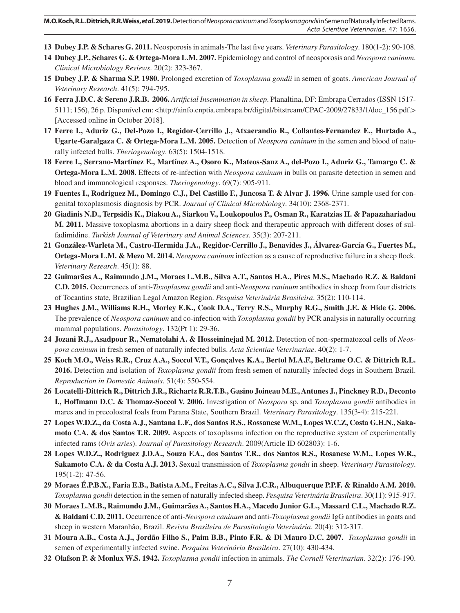- **13 Dubey J.P. & Schares G. 2011.** Neosporosis in animals-The last five years. *Veterinary Parasitology*. 180(1-2): 90-108.
- **14 Dubey J.P., Schares G. & Ortega-Mora L.M. 2007.** Epidemiology and control of neosporosis and *Neospora caninum*. *Clinical Microbiology Reviews*. 20(2): 323-367.
- **15 Dubey J.P. & Sharma S.P. 1980.** Prolonged excretion of *Toxoplasma gondii* in semen of goats. *American Journal of Veterinary Research*. 41(5): 794-795.
- **16 Ferra J.D.C. & Sereno J.R.B. 2006.** *Artificial Insemination in sheep*. Planaltina, DF: Embrapa Cerrados (ISSN 1517- 5111; 156), 26 p. Disponível em: <http://ainfo.cnptia.embrapa.br/digital/bitstream/CPAC-2009/27833/1/doc\_156.pdf.> [Accessed online in October 2018].
- **17 Ferre I., Aduriz G., Del-Pozo I., Regidor-Cerrillo J., Atxaerandio R., Collantes-Fernandez E., Hurtado A., Ugarte-Garalgaza C. & Ortega-Mora L.M. 2005.** Detection of *Neospora caninum* in the semen and blood of naturally infected bulls. *Theriogenology*. 63(5): 1504-1518.
- **18 Ferre I., Serrano-Martínez E., Martínez A., Osoro K., Mateos-Sanz A., del-Pozo I., Aduriz G., Tamargo C. & Ortega-Mora L.M. 2008.** Effects of re-infection with *Neospora caninum* in bulls on parasite detection in semen and blood and immunological responses. *Theriogenology*. 69(7): 905-911.
- **19 Fuentes I., Rodriguez M., Domingo C.J., Del Castillo F., Juncosa T. & Alvar J. 1996.** Urine sample used for congenital toxoplasmosis diagnosis by PCR. *Journal of Clinical Microbiology*. 34(10): 2368-2371.
- **20 Giadinis N.D., Terpsidis K., Diakou A., Siarkou V., Loukopoulos P., Osman R., Karatzias H. & Papazahariadou M. 2011.** Massive toxoplasma abortions in a dairy sheep flock and therapeutic approach with different doses of sulfadimidine. *Turkish Journal of Veterinary and Animal Sciences*. 35(3): 207-211.
- **21 González-Warleta M., Castro-Hermida J.A., Regidor-Cerrillo J., Benavides J., Álvarez-García G., Fuertes M., Ortega-Mora L.M. & Mezo M. 2014.** *Neospora caninum* infection as a cause of reproductive failure in a sheep flock. *Veterinary Research*. 45(1): 88.
- **22 Guimarães A., Raimundo J.M., Moraes L.M.B., Silva A.T., Santos H.A., Pires M.S., Machado R.Z. & Baldani C.D. 2015.** Occurrences of anti-*Toxoplasma gondii* and anti-*Neospora caninum* antibodies in sheep from four districts of Tocantins state, Brazilian Legal Amazon Region. *Pesquisa Veterinária Brasileira*. 35(2): 110-114.
- **23 Hughes J.M., Williams R.H., Morley E.K., Cook D.A., Terry R.S., Murphy R.G., Smith J.E. & Hide G. 2006.** The prevalence of *Neospora caninum* and co-infection with *Toxoplasma gondii* by PCR analysis in naturally occurring mammal populations. *Parasitology*. 132(Pt 1): 29-36.
- **24 Jozani R.J., Asadpour R., Nematolahi A. & Hosseininejad M. 2012.** Detection of non-spermatozoal cells of *Neospora caninum* in fresh semen of naturally infected bulls. *Acta Scientiae Veterinariae*. 40(2): 1-7.
- **25 Koch M.O., Weiss R.R., Cruz A.A., Soccol V.T., Gonçalves K.A., Bertol M.A.F., Beltrame O.C. & Dittrich R.L. 2016.** Detection and isolation of *Toxoplasma gondii* from fresh semen of naturally infected dogs in Southern Brazil. *Reproduction in Domestic Animals*. 51(4): 550-554.
- **26 Locatelli-Dittrich R., Dittrich J.R., Richartz R.R.T.B., Gasino Joineau M.E., Antunes J., Pinckney R.D., Deconto I., Hoffmann D.C. & Thomaz-Soccol V. 2006.** Investigation of *Neospora* sp. and *Toxoplasma gondii* antibodies in mares and in precolostral foals from Parana State, Southern Brazil. *Veterinary Parasitology*. 135(3-4): 215-221.
- **27 Lopes W.D.Z., da Costa A.J., Santana L.F., dos Santos R.S., Rossanese W.M., Lopes W.C.Z, Costa G.H.N., Sakamoto C.A. & dos Santos T.R. 2009.** Aspects of toxoplasma infection on the reproductive system of experimentally infected rams (*Ovis aries*). *Journal of Parasitology Research*. 2009(Article ID 602803): 1-6.
- **28 Lopes W.D.Z., Rodriguez J.D.A., Souza F.A., dos Santos T.R., dos Santos R.S., Rosanese W.M., Lopes W.R., Sakamoto C.A. & da Costa A.J. 2013.** Sexual transmission of *Toxoplasma gondii* in sheep. *Veterinary Parasitology*. 195(1-2): 47-56.
- **29 Moraes É.P.B.X., Faria E.B., Batista A.M., Freitas A.C., Silva J.C.R., Albuquerque P.P.F. & Rinaldo A.M. 2010.**  *Toxoplasma gondii* detection in the semen of naturally infected sheep. *Pesquisa Veterinária Brasileira*. 30(11): 915-917.
- **30 Moraes L.M.B., Raimundo J.M., Guimarães A., Santos H.A., Macedo Junior G.L., Massard C.L., Machado R.Z. & Baldani C.D. 2011.** Occurrence of anti-*Neospora caninum* and anti-*Toxoplasma gondii* IgG antibodies in goats and sheep in western Maranhão, Brazil. *Revista Brasileira de Parasitologia Veterinária*. 20(4): 312-317.
- **31 Moura A.B., Costa A.J., Jordão Filho S., Paim B.B., Pinto F.R. & Di Mauro D.C. 2007.** *Toxoplasma gondii* in semen of experimentally infected swine. *Pesquisa Veterinária Brasileira*. 27(10): 430-434.
- **32 Olafson P. & Monlux W.S. 1942.** *Toxoplasma gondii* infection in animals. *The Cornell Veterinarian*. 32(2): 176-190.